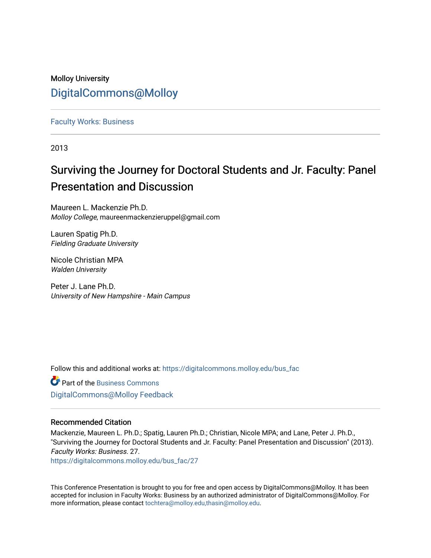## Molloy University [DigitalCommons@Molloy](https://digitalcommons.molloy.edu/)

[Faculty Works: Business](https://digitalcommons.molloy.edu/bus_fac) 

2013

# Surviving the Journey for Doctoral Students and Jr. Faculty: Panel Presentation and Discussion

Maureen L. Mackenzie Ph.D. Molloy College, maureenmackenzieruppel@gmail.com

Lauren Spatig Ph.D. Fielding Graduate University

Nicole Christian MPA Walden University

Peter J. Lane Ph.D. University of New Hampshire - Main Campus

Follow this and additional works at: [https://digitalcommons.molloy.edu/bus\\_fac](https://digitalcommons.molloy.edu/bus_fac?utm_source=digitalcommons.molloy.edu%2Fbus_fac%2F27&utm_medium=PDF&utm_campaign=PDFCoverPages)

**C** Part of the [Business Commons](https://network.bepress.com/hgg/discipline/622?utm_source=digitalcommons.molloy.edu%2Fbus_fac%2F27&utm_medium=PDF&utm_campaign=PDFCoverPages) [DigitalCommons@Molloy Feedback](https://molloy.libwizard.com/f/dcfeedback)

### Recommended Citation

Mackenzie, Maureen L. Ph.D.; Spatig, Lauren Ph.D.; Christian, Nicole MPA; and Lane, Peter J. Ph.D., "Surviving the Journey for Doctoral Students and Jr. Faculty: Panel Presentation and Discussion" (2013). Faculty Works: Business. 27.

[https://digitalcommons.molloy.edu/bus\\_fac/27](https://digitalcommons.molloy.edu/bus_fac/27?utm_source=digitalcommons.molloy.edu%2Fbus_fac%2F27&utm_medium=PDF&utm_campaign=PDFCoverPages) 

This Conference Presentation is brought to you for free and open access by DigitalCommons@Molloy. It has been accepted for inclusion in Faculty Works: Business by an authorized administrator of DigitalCommons@Molloy. For more information, please contact [tochtera@molloy.edu,thasin@molloy.edu.](mailto:tochtera@molloy.edu,thasin@molloy.edu)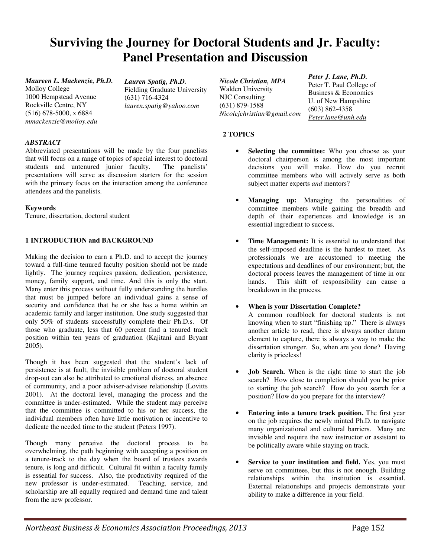## **Surviving the Journey for Doctoral Students and Jr. Faculty: Panel Presentation and Discussion**

*Maureen L. Mackenzie, Ph.D.* Molloy College 1000 Hempstead Avenue Rockville Centre, NY (516) 678-5000, x 6884 *mmackenzie@molloy.edu*

*Lauren Spatig, Ph.D.* Fielding Graduate University (631) 716-4324 *lauren.spatig@yahoo.com*

#### *ABSTRACT*

Abbreviated presentations will be made by the four panelists that will focus on a range of topics of special interest to doctoral students and untenured junior faculty. The panelists' presentations will serve as discussion starters for the session with the primary focus on the interaction among the conference attendees and the panelists.

#### **Keywords**

Tenure, dissertation, doctoral student

#### **1 INTRODUCTION and BACKGROUND**

Making the decision to earn a Ph.D. and to accept the journey toward a full-time tenured faculty position should not be made lightly. The journey requires passion, dedication, persistence, money, family support, and time. And this is only the start. Many enter this process without fully understanding the hurdles that must be jumped before an individual gains a sense of security and confidence that he or she has a home within an academic family and larger institution. One study suggested that only 50% of students successfully complete their Ph.D.s. Of those who graduate, less that 60 percent find a tenured track position within ten years of graduation (Kajitani and Bryant 2005).

Though it has been suggested that the student's lack of persistence is at fault, the invisible problem of doctoral student drop-out can also be attributed to emotional distress, an absence of community, and a poor adviser-advisee relationship (Lovitts 2001). At the doctoral level, managing the process and the committee is under-estimated. While the student may perceive that the committee is committed to his or her success, the individual members often have little motivation or incentive to dedicate the needed time to the student (Peters 1997).

Though many perceive the doctoral process to be overwhelming, the path beginning with accepting a position on a tenure-track to the day when the board of trustees awards tenure, is long and difficult. Cultural fit within a faculty family is essential for success. Also, the productivity required of the new professor is under-estimated. Teaching, service, and scholarship are all equally required and demand time and talent from the new professor.

*Nicole Christian, MPA*  Walden University NJC Consulting (631) 879-1588 *Nicolejchristian@gmail.com*  *Peter J. Lane, Ph.D.*  Peter T. Paul College of Business & Economics U. of New Hampshire (603) 862-4358 *Peter.lane@unh.edu* 

#### **2 TOPICS**

- **Selecting the committee:** Who you choose as your doctoral chairperson is among the most important decisions you will make. How do you recruit committee members who will actively serve as both subject matter experts *and* mentors?
- **Managing up:** Managing the personalities of committee members while gaining the breadth and depth of their experiences and knowledge is an essential ingredient to success.
- Time Management: It is essential to understand that the self-imposed deadline is the hardest to meet. As professionals we are accustomed to meeting the expectations and deadlines of our environment; but, the doctoral process leaves the management of time in our hands. This shift of responsibility can cause a breakdown in the process.
- **When is your Dissertation Complete?**  A common roadblock for doctoral students is not knowing when to start "finishing up." There is always another article to read, there is always another datum element to capture, there is always a way to make the dissertation stronger. So, when are you done? Having clarity is priceless!
- **Job Search.** When is the right time to start the job search? How close to completion should you be prior to starting the job search? How do you search for a position? How do you prepare for the interview?
- **Entering into a tenure track position.** The first year on the job requires the newly minted Ph.D. to navigate many organizational and cultural barriers. Many are invisible and require the new instructor or assistant to be politically aware while staying on track.
- Service to your institution and field. Yes, you must serve on committees, but this is not enough. Building relationships within the institution is essential. External relationships and projects demonstrate your ability to make a difference in your field.